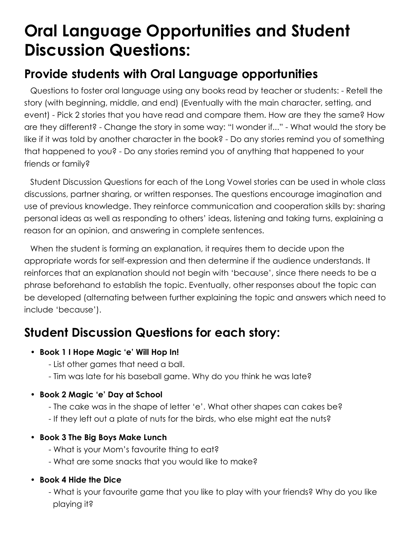# **Oral Language Opportunities and Student Discussion Questions:**

## **Provide students with Oral Language opportunities**

Questions to foster oral language using any books read by teacher or students: - Retell the story (with beginning, middle, and end) (Eventually with the main character, setting, and event) - Pick 2 stories that you have read and compare them. How are they the same? How are they different? - Change the story in some way: "I wonder if..." - What would the story be like if it was told by another character in the book? - Do any stories remind you of something that happened to you? - Do any stories remind you of anything that happened to your friends or family?

Student Discussion Questions for each of the Long Vowel stories can be used in whole class discussions, partner sharing, or written responses. The questions encourage imagination and use of previous knowledge. They reinforce communication and cooperation skills by: sharing personal ideas as well as responding to others' ideas, listening and taking turns, explaining a reason for an opinion, and answering in complete sentences.

When the student is forming an explanation, it requires them to decide upon the appropriate words for self-expression and then determine if the audience understands. It reinforces that an explanation should not begin with 'because', since there needs to be a phrase beforehand to establish the topic. Eventually, other responses about the topic can be developed (alternating between further explaining the topic and answers which need to include 'because').

# **Student Discussion Questions for each story:**

### • **Book 1 I Hope Magic 'e' Will Hop In!**

- List other games that need a ball.
- Tim was late for his baseball game. Why do you think he was late?
- **Book 2 Magic 'e' Day at School**
	- The cake was in the shape of letter 'e'. What other shapes can cakes be?
	- If they left out a plate of nuts for the birds, who else might eat the nuts?
- **Book 3 The Big Boys Make Lunch**
	- What is your Mom's favourite thing to eat?
	- What are some snacks that you would like to make?
- **Book 4 Hide the Dice**
	- What is your favourite game that you like to play with your friends? Why do you like playing it?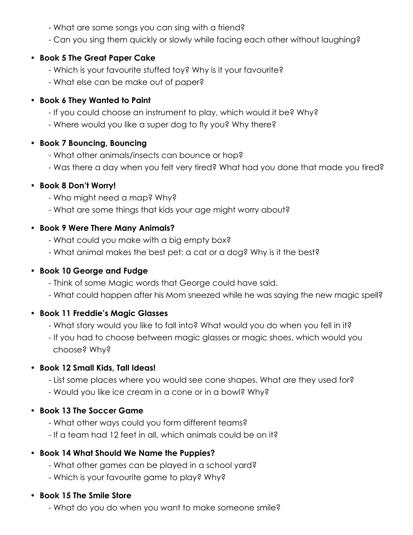- What are some songs you can sing with a friend?
- Can you sing them quickly or slowly while facing each other without laughing?

#### • **Book 5 The Great Paper Cake**

- Which is your favourite stuffed toy? Why is it your favourite?
- What else can be make out of paper?

#### • **Book 6 They Wanted to Paint**

- If you could choose an instrument to play, which would it be? Why?
- Where would you like a super dog to fly you? Why there?

### • **Book 7 Bouncing, Bouncing**

- What other animals/insects can bounce or hop?
- Was there a day when you felt very tired? What had you done that made you tired?

#### • **Book 8 Don't Worry!**

- Who might need a map? Why?
- What are some things that kids your age might worry about?

#### • **Book 9 Were There Many Animals?**

- What could you make with a big empty box?
- What animal makes the best pet: a cat or a dog? Why is it the best?

#### • **Book 10 George and Fudge**

- Think of some Magic words that George could have said.
- What could happen after his Mom sneezed while he was saying the new magic spell?

### • **Book 11 Freddie's Magic Glasses**

- What story would you like to fall into? What would you do when you fell in it?
- If you had to choose between magic glasses or magic shoes, which would you choose? Why?

### • **Book 12 Small Kids, Tall Ideas!**

- List some places where you would see cone shapes. What are they used for?
- Would you like ice cream in a cone or in a bowl? Why?

### • **Book 13 The Soccer Game**

- What other ways could you form different teams?
- If a team had 12 feet in all, which animals could be on it?

### • **Book 14 What Should We Name the Puppies?**

- What other games can be played in a school yard?
- Which is your favourite game to play? Why?

#### • **Book 15 The Smile Store**

- What do you do when you want to make someone smile?